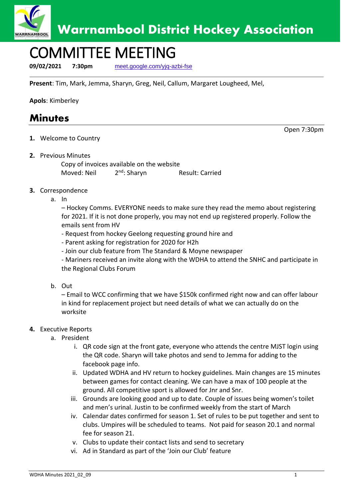

# COMMITTEE MEETING

**09/02/2021 7:30pm** [meet.google.com/yjq-azbi-fse](https://meet.google.com/yjq-azbi-fse?hs=224#_blank)

**Present**: Tim, Mark, Jemma, Sharyn, Greg, Neil, Callum, Margaret Lougheed, Mel,

**Apols**: Kimberley

### **Minutes**

**1.** Welcome to Country

Open 7:30pm

**2.** Previous Minutes

Copy of invoices available on the website Moved: Neil 2<sup>nd</sup>: Sharvn Result: Carried

- **3.** Correspondence
	- a. In

– Hockey Comms. EVERYONE needs to make sure they read the memo about registering for 2021. If it is not done properly, you may not end up registered properly. Follow the emails sent from HV

- Request from hockey Geelong requesting ground hire and

- Parent asking for registration for 2020 for H2h

- Join our club feature from The Standard & Moyne newspaper

- Mariners received an invite along with the WDHA to attend the SNHC and participate in the Regional Clubs Forum

b. Out

– Email to WCC confirming that we have \$150k confirmed right now and can offer labour in kind for replacement project but need details of what we can actually do on the worksite

### **4.** Executive Reports

- a. President
	- i. QR code sign at the front gate, everyone who attends the centre MJST login using the QR code. Sharyn will take photos and send to Jemma for adding to the facebook page info.
	- ii. Updated WDHA and HV return to hockey guidelines. Main changes are 15 minutes between games for contact cleaning. We can have a max of 100 people at the ground. All competitive sport is allowed for Jnr and Snr.
	- iii. Grounds are looking good and up to date. Couple of issues being women's toilet and men's urinal. Justin to be confirmed weekly from the start of March
	- iv. Calendar dates confirmed for season 1. Set of rules to be put together and sent to clubs. Umpires will be scheduled to teams. Not paid for season 20.1 and normal fee for season 21.
	- v. Clubs to update their contact lists and send to secretary
	- vi. Ad in Standard as part of the 'Join our Club' feature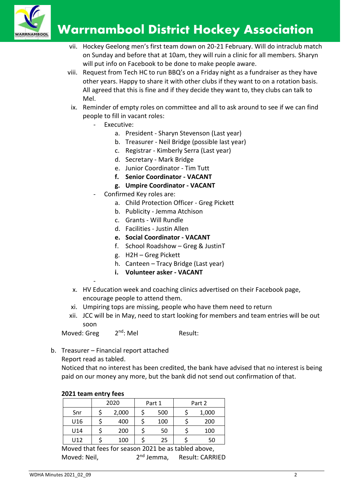

## **Warrnambool District Hockey Association**

- vii. Hockey Geelong men's first team down on 20-21 February. Will do intraclub match on Sunday and before that at 10am, they will ruin a clinic for all members. Sharyn will put info on Facebook to be done to make people aware.
- viii. Request from Tech HC to run BBQ's on a Friday night as a fundraiser as they have other years. Happy to share it with other clubs if they want to on a rotation basis. All agreed that this is fine and if they decide they want to, they clubs can talk to Mel.
	- ix. Reminder of empty roles on committee and all to ask around to see if we can find people to fill in vacant roles:
		- Executive:
			- a. President Sharyn Stevenson (Last year)
			- b. Treasurer Neil Bridge (possible last year)
			- c. Registrar Kimberly Serra (Last year)
			- d. Secretary Mark Bridge
			- e. Junior Coordinator Tim Tutt
			- **f. Senior Coordinator - VACANT**
			- **g. Umpire Coordinator - VACANT**
		- Confirmed Key roles are:
			- a. Child Protection Officer Greg Pickett
			- b. Publicity Jemma Atchison
			- c. Grants Will Rundle
			- d. Facilities Justin Allen
			- **e. Social Coordinator - VACANT**
			- f. School Roadshow Greg & JustinT
			- g. H2H Greg Pickett
			- h. Canteen Tracy Bridge (Last year)
			- **i. Volunteer asker - VACANT**
	- x. HV Education week and coaching clinics advertised on their Facebook page, encourage people to attend them.
	- xi. Umpiring tops are missing, people who have them need to return
- xii. JCC will be in May, need to start looking for members and team entries will be out soon

Moved: Greg  $2<sup>nd</sup>$ : Mel Result:

b. Treasurer – Financial report attached Report read as tabled.

Noticed that no interest has been credited, the bank have advised that no interest is being paid on our money any more, but the bank did not send out confirmation of that.

|  | 2021 team entry fees |
|--|----------------------|
|--|----------------------|

-

|     | 2020 |       | Part 1 |     | Part 2 |       |  |
|-----|------|-------|--------|-----|--------|-------|--|
| Snr |      | 2,000 |        | 500 |        | 1,000 |  |
| U16 |      | 400   |        | 100 |        | 200   |  |
| U14 |      | 200   |        | 50  |        | 100   |  |
| U12 |      | 100   |        | 25  |        | 50    |  |
| . . |      |       |        |     |        |       |  |

Moved that fees for season 2021 be as tabled above, Moved: Neil, and 2<sup>nd</sup> Jemma, Result: CARRIED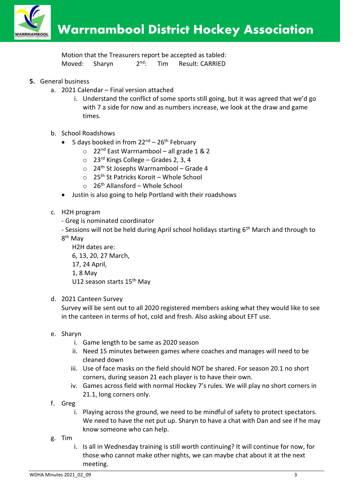

Motion that the Treasurers report be accepted as tabled: Moved: Sharyn 2<sup>nd</sup>: Tim Result: CARRIED

- **5.** General business
	- a. 2021 Calendar Final version attached
		- i. Understand the conflict of some sports still going, but it was agreed that we'd go with 7 a side for now and as numbers increase, we look at the draw and game times.
	- b. School Roadshows
		- 5 days booked in from  $22^{nd} 26^{th}$  February
			- $\circ$  22<sup>nd</sup> East Warrnambool all grade 1 & 2
			- $\circ$  23<sup>rd</sup> Kings College Grades 2, 3, 4
			- $\circ$  24<sup>th</sup> St Josephs Warrnambool Grade 4
			- $\circ$  25<sup>th</sup> St Patricks Koroit Whole School
			- $\circ$  26<sup>th</sup> Allansford Whole School
		- Justin is also going to help Portland with their roadshows
	- c. H2H program
		- Greg is nominated coordinator

- Sessions will not be held during April school holidays starting 6<sup>th</sup> March and through to 8<sup>th</sup> May

H2H dates are: 6, 13, 20, 27 March, 17, 24 April, 1, 8 May U12 season starts 15<sup>th</sup> May

### d. 2021 Canteen Survey

Survey will be sent out to all 2020 registered members asking what they would like to see in the canteen in terms of hot, cold and fresh. Also asking about EFT use.

- e. Sharyn
	- i. Game length to be same as 2020 season
	- ii. Need 15 minutes between games where coaches and manages will need to be cleaned down
	- iii. Use of face masks on the field should NOT be shared. For season 20.1 no short corners, during season 21 each player is to have their own.
	- iv. Games across field with normal Hockey 7's rules. We will play no short corners in 21.1, long corners only.
- f. Greg
	- i. Playing across the ground, we need to be mindful of safety to protect spectators. We need to have the net put up. Sharyn to have a chat with Dan and see if he may know someone who can help.
- g. Tim
	- i. Is all in Wednesday training is still worth continuing? It will continue for now, for those who cannot make other nights, we can maybe chat about it at the next meeting.